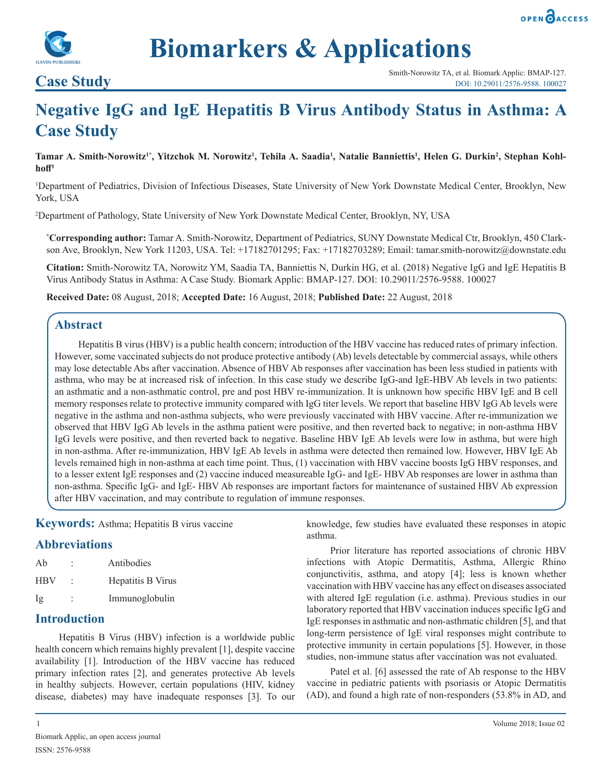



# **Biomarkers & Applications**

## **Negative IgG and IgE Hepatitis B Virus Antibody Status in Asthma: A Case Study**

Tamar A. Smith-Norowitz<sup>1\*</sup>, Yitzchok M. Norowitz<sup>1</sup>, Tehila A. Saadia<sup>1</sup>, Natalie Banniettis<sup>1</sup>, Helen G. Durkin<sup>2</sup>, Stephan Kohl**hoff<sup>1</sup>**

1 Department of Pediatrics, Division of Infectious Diseases, State University of New York Downstate Medical Center, Brooklyn, New York, USA

2 Department of Pathology, State University of New York Downstate Medical Center, Brooklyn, NY, USA

**\* Corresponding author:** Tamar A. Smith-Norowitz, Department of Pediatrics, SUNY Downstate Medical Ctr, Brooklyn, 450 Clarkson Ave, Brooklyn, New York 11203, USA. Tel: +17182701295; Fax: +17182703289; Email: tamar.smith-norowitz@downstate.edu

**Citation:** Smith-Norowitz TA, Norowitz YM, Saadia TA, Banniettis N, Durkin HG, et al. (2018) Negative IgG and IgE Hepatitis B Virus Antibody Status in Asthma: A Case Study. Biomark Applic: BMAP-127. DOI: 10.29011/2576-9588. 100027

**Received Date:** 08 August, 2018; **Accepted Date:** 16 August, 2018; **Published Date:** 22 August, 2018

#### **Abstract**

Hepatitis B virus (HBV) is a public health concern; introduction of the HBV vaccine has reduced rates of primary infection. However, some vaccinated subjects do not produce protective antibody (Ab) levels detectable by commercial assays, while others may lose detectable Abs after vaccination. Absence of HBV Ab responses after vaccination has been less studied in patients with asthma, who may be at increased risk of infection. In this case study we describe IgG-and IgE-HBV Ab levels in two patients: an asthmatic and a non-asthmatic control, pre and post HBV re-immunization. It is unknown how specific HBV IgE and B cell memory responses relate to protective immunity compared with IgG titer levels. We report that baseline HBV IgG Ab levels were negative in the asthma and non-asthma subjects, who were previously vaccinated with HBV vaccine. After re-immunization we observed that HBV IgG Ab levels in the asthma patient were positive, and then reverted back to negative; in non-asthma HBV IgG levels were positive, and then reverted back to negative. Baseline HBV IgE Ab levels were low in asthma, but were high in non-asthma. After re-immunization, HBV IgE Ab levels in asthma were detected then remained low. However, HBV IgE Ab levels remained high in non-asthma at each time point. Thus, (1) vaccination with HBV vaccine boosts IgG HBV responses, and to a lesser extent IgE responses and (2) vaccine induced measureable IgG- and IgE- HBV Ab responses are lower in asthma than non-asthma. Specific IgG- and IgE- HBV Ab responses are important factors for maintenance of sustained HBV Ab expression after HBV vaccination, and may contribute to regulation of immune responses.

**Keywords:** Asthma; Hepatitis B virus vaccine

### **Abbreviations**

| Ab  | Antibodies        |
|-----|-------------------|
| HBV | Hepatitis B Virus |
| Ig  | Immunoglobulin    |

### **Introduction**

Hepatitis B Virus (HBV) infection is a worldwide public health concern which remains highly prevalent [1], despite vaccine availability [1]. Introduction of the HBV vaccine has reduced primary infection rates [2], and generates protective Ab levels in healthy subjects. However, certain populations (HIV, kidney disease, diabetes) may have inadequate responses [3]. To our

knowledge, few studies have evaluated these responses in atopic asthma.

Prior literature has reported associations of chronic HBV infections with Atopic Dermatitis, Asthma, Allergic Rhino conjunctivitis, asthma, and atopy [4]; less is known whether vaccination with HBV vaccine has any effect on diseases associated with altered IgE regulation (i.e. asthma). Previous studies in our laboratory reported that HBV vaccination induces specific IgG and IgE responses in asthmatic and non-asthmatic children [5], and that long-term persistence of IgE viral responses might contribute to protective immunity in certain populations [5]. However, in those studies, non-immune status after vaccination was not evaluated.

Patel et al. [6] assessed the rate of Ab response to the HBV vaccine in pediatric patients with psoriasis or Atopic Dermatitis (AD), and found a high rate of non-responders (53.8% in AD, and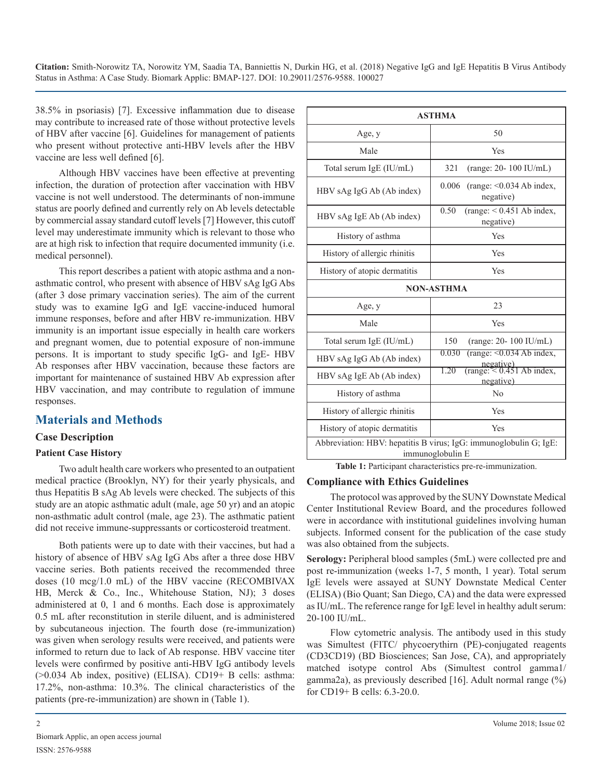**Citation:** Smith-Norowitz TA, Norowitz YM, Saadia TA, Banniettis N, Durkin HG, et al. (2018) Negative IgG and IgE Hepatitis B Virus Antibody Status in Asthma: A Case Study. Biomark Applic: BMAP-127. DOI: 10.29011/2576-9588. 100027

38.5% in psoriasis) [7]. Excessive inflammation due to disease may contribute to increased rate of those without protective levels of HBV after vaccine [6]. Guidelines for management of patients who present without protective anti-HBV levels after the HBV vaccine are less well defined [6].

Although HBV vaccines have been effective at preventing infection, the duration of protection after vaccination with HBV vaccine is not well understood. The determinants of non-immune status are poorly defined and currently rely on Ab levels detectable by commercial assay standard cutoff levels [7] However, this cutoff level may underestimate immunity which is relevant to those who are at high risk to infection that require documented immunity (i.e. medical personnel).

This report describes a patient with atopic asthma and a nonasthmatic control, who present with absence of HBV sAg IgG Abs (after 3 dose primary vaccination series). The aim of the current study was to examine IgG and IgE vaccine-induced humoral immune responses, before and after HBV re-immunization. HBV immunity is an important issue especially in health care workers and pregnant women, due to potential exposure of non-immune persons. It is important to study specific IgG- and IgE- HBV Ab responses after HBV vaccination, because these factors are important for maintenance of sustained HBV Ab expression after HBV vaccination, and may contribute to regulation of immune responses.

### **Materials and Methods**

#### **Case Description**

#### **Patient Case History**

Two adult health care workers who presented to an outpatient medical practice (Brooklyn, NY) for their yearly physicals, and thus Hepatitis B sAg Ab levels were checked. The subjects of this study are an atopic asthmatic adult (male, age 50 yr) and an atopic non-asthmatic adult control (male, age 23). The asthmatic patient did not receive immune-suppressants or corticosteroid treatment.

Both patients were up to date with their vaccines, but had a history of absence of HBV sAg IgG Abs after a three dose HBV vaccine series. Both patients received the recommended three doses (10 mcg/1.0 mL) of the HBV vaccine (RECOMBIVAX HB, Merck & Co., Inc., Whitehouse Station, NJ); 3 doses administered at 0, 1 and 6 months. Each dose is approximately 0.5 mL after reconstitution in sterile diluent, and is administered by subcutaneous injection. The fourth dose (re-immunization) was given when serology results were received, and patients were informed to return due to lack of Ab response. HBV vaccine titer levels were confirmed by positive anti-HBV IgG antibody levels (>0.034 Ab index, positive) (ELISA). CD19+ B cells: asthma: 17.2%, non-asthma: 10.3%. The clinical characteristics of the patients (pre-re-immunization) are shown in (Table 1).

| <b>ASTHMA</b>                                                                         |                                                               |  |
|---------------------------------------------------------------------------------------|---------------------------------------------------------------|--|
| Age, y                                                                                | 50                                                            |  |
| Male                                                                                  | Yes                                                           |  |
| Total serum IgE (IU/mL)                                                               | 321<br>$(range: 20-100 IU/mL)$                                |  |
| HBV sAg IgG Ab (Ab index)                                                             | (range: $< 0.034$ Ab index,<br>0.006<br>negative)             |  |
| HBV sAg IgE Ab (Ab index)                                                             | 0.50<br>$(range: < 0.451 Ab$ index,<br>negative)              |  |
| History of asthma                                                                     | Yes                                                           |  |
| History of allergic rhinitis                                                          | Yes                                                           |  |
| History of atopic dermatitis                                                          | Yes                                                           |  |
| <b>NON-ASTHMA</b>                                                                     |                                                               |  |
| Age, y                                                                                | 23                                                            |  |
| Male                                                                                  | Yes                                                           |  |
| Total serum IgE (IU/mL)                                                               | (range: 20-100 IU/mL)<br>150                                  |  |
| HBV sAg IgG Ab (Ab index)                                                             | $(range: <0.034 Ab$ index,<br>0.030                           |  |
| HBV sAg IgE Ab (Ab index)                                                             | $negative)$<br>(range: < 0.451 Ab index,<br>1.20<br>negative) |  |
| History of asthma                                                                     | No                                                            |  |
| History of allergic rhinitis                                                          | Yes                                                           |  |
| History of atopic dermatitis                                                          | Yes                                                           |  |
| Abbreviation: HBV: hepatitis B virus; IgG: immunoglobulin G; IgE:<br>immunoglobulin E |                                                               |  |

**Table 1:** Participant characteristics pre-re-immunization.

#### **Compliance with Ethics Guidelines**

The protocol was approved by the SUNY Downstate Medical Center Institutional Review Board, and the procedures followed were in accordance with institutional guidelines involving human subjects. Informed consent for the publication of the case study was also obtained from the subjects.

**Serology:** Peripheral blood samples (5mL) were collected pre and post re-immunization (weeks 1-7, 5 month, 1 year). Total serum IgE levels were assayed at SUNY Downstate Medical Center (ELISA) (Bio Quant; San Diego, CA) and the data were expressed as IU/mL. The reference range for IgE level in healthy adult serum: 20-100 IU/mL.

Flow cytometric analysis. The antibody used in this study was Simultest (FITC/ phycoerythirn (PE)-conjugated reagents (CD3CD19) (BD Biosciences; San Jose, CA), and appropriately matched isotype control Abs (Simultest control gamma1/ gamma2a), as previously described [16]. Adult normal range (%) for CD19+ B cells: 6.3-20.0.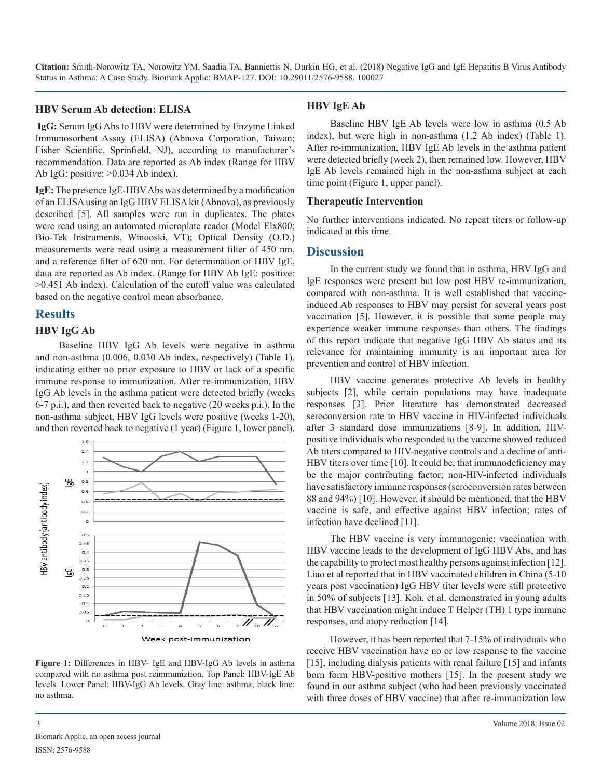**Citation:** Smith-Norowitz TA, Norowitz YM, Saadia TA, Banniettis N, Durkin HG, et al. (2018) Negative IgG and IgE Hepatitis B Virus Antibody Status in Asthma: A Case Study. Biomark Applic: BMAP-127. DOI: 10.29011/2576-9588. 100027

#### **HBV Serum Ab detection: ELISA**

 **IgG:** Serum IgG Abs to HBV were determined by Enzyme Linked Immunosorbent Assay (ELISA) (Abnova Corporation, Taiwan; Fisher Scientific, Sprinfield, NJ), according to manufacturer's recommendation. Data are reported as Ab index (Range for HBV Ab IgG: positive: >0.034 Ab index).

**IgE:** The presence IgE-HBV Abs was determined by a modification of an ELISA using an IgG HBV ELISA kit (Abnova), as previously described [5]. All samples were run in duplicates. The plates were read using an automated microplate reader (Model Elx800; Bio-Tek Instruments, Winooski, VT); Optical Density (O.D.) measurements were read using a measurement filter of 450 nm, and a reference filter of 620 nm. For determination of HBV IgE, data are reported as Ab index. (Range for HBV Ab IgE: positive: >0.451 Ab index). Calculation of the cutoff value was calculated based on the negative control mean absorbance.

#### **Results**

#### **HBV IgG Ab**

Baseline HBV IgG Ab levels were negative in asthma and non-asthma (0.006, 0.030 Ab index, respectively) (Table 1), indicating either no prior exposure to HBV or lack of a specific immune response to immunization. After re-immunization, HBV IgG Ab levels in the asthma patient were detected briefly (weeks 6-7 p.i.), and then reverted back to negative (20 weeks p.i.). In the non-asthma subject, HBV IgG levels were positive (weeks 1-20), and then reverted back to negative (1 year) (Figure 1, lower panel).



**Figure 1:** Differences in HBV- IgE and HBV-IgG Ab levels in asthma compared with no asthma post reimmuniztion. Top Panel: HBV-IgE Ab levels. Lower Panel: HBV-IgG Ab levels. Gray line: asthma; black line: no asthma.

#### **HBV IgE Ab**

Baseline HBV IgE Ab levels were low in asthma (0.5 Ab index), but were high in non-asthma (1.2 Ab index) (Table 1). After re-immunization, HBV IgE Ab levels in the asthma patient were detected briefly (week 2), then remained low. However, HBV IgE Ab levels remained high in the non-asthma subject at each time point (Figure 1, upper panel).

#### **Therapeutic Intervention**

No further interventions indicated. No repeat titers or follow-up indicated at this time.

#### **Discussion**

In the current study we found that in asthma, HBV IgG and IgE responses were present but low post HBV re-immunization, compared with non-asthma. It is well established that vaccineinduced Ab responses to HBV may persist for several years post vaccination [5]. However, it is possible that some people may experience weaker immune responses than others. The findings of this report indicate that negative IgG HBV Ab status and its relevance for maintaining immunity is an important area for prevention and control of HBV infection.

HBV vaccine generates protective Ab levels in healthy subjects [2], while certain populations may have inadequate responses [3]. Prior literature has demonstrated decreased seroconversion rate to HBV vaccine in HIV-infected individuals after 3 standard dose immunizations [8-9]. In addition, HIVpositive individuals who responded to the vaccine showed reduced Ab titers compared to HIV-negative controls and a decline of anti-HBV titers over time [10]. It could be, that immunodeficiency may be the major contributing factor; non-HIV-infected individuals have satisfactory immune responses (seroconversion rates between 88 and 94%) [10]. However, it should be mentioned, that the HBV vaccine is safe, and effective against HBV infection; rates of infection have declined [11].

The HBV vaccine is very immunogenic; vaccination with HBV vaccine leads to the development of IgG HBV Abs, and has the capability to protect most healthy persons against infection [12]. Liao et al reported that in HBV vaccinated children in China (5-10 years post vaccination) IgG HBV titer levels were still protective in 50% of subjects [13]. Koh, et al. demonstrated in young adults that HBV vaccination might induce T Helper (TH) 1 type immune responses, and atopy reduction [14].

However, it has been reported that 7-15% of individuals who receive HBV vaccination have no or low response to the vaccine [15], including dialysis patients with renal failure [15] and infants born form HBV-positive mothers [15]. In the present study we found in our asthma subject (who had been previously vaccinated with three doses of HBV vaccine) that after re-immunization low